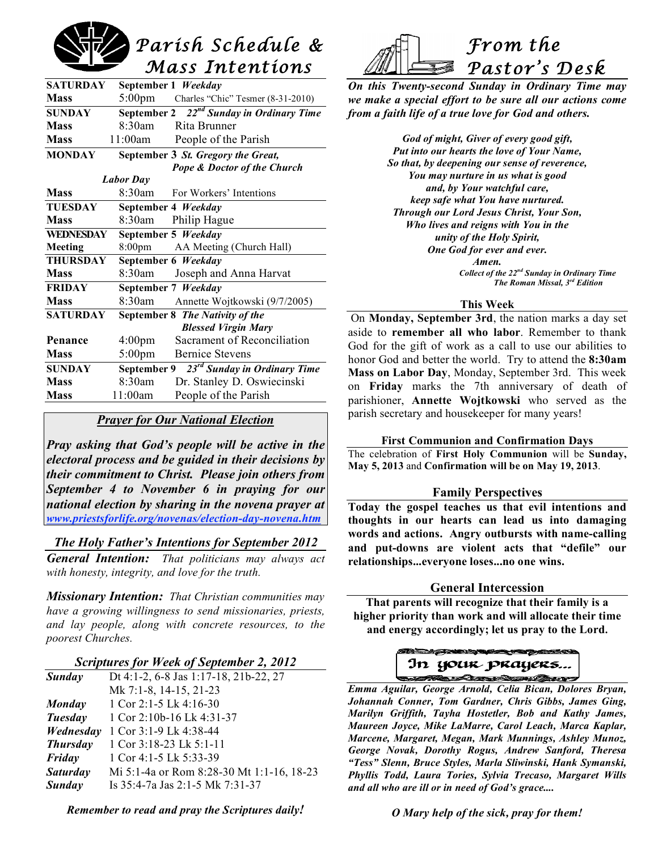# *Parish Schedule & Mass Intentions*

| <b>SATURDAY</b>  | September 1 Weekday                           |                                    |  |
|------------------|-----------------------------------------------|------------------------------------|--|
| <b>Mass</b>      | 5:00pm                                        | Charles "Chic" Tesmer (8-31-2010)  |  |
| <b>SUNDAY</b>    | September 2 $22^{nd}$ Sunday in Ordinary Time |                                    |  |
| <b>Mass</b>      | $8.30$ am                                     | Rita Brunner                       |  |
| <b>Mass</b>      | 11:00am                                       | People of the Parish               |  |
| <b>MONDAY</b>    |                                               | September 3 St. Gregory the Great, |  |
|                  |                                               | Pope & Doctor of the Church        |  |
|                  | <b>Labor</b> Day                              |                                    |  |
| <b>Mass</b>      | 8:30am                                        | For Workers' Intentions            |  |
| <b>TUESDAY</b>   | September 4 Weekday                           |                                    |  |
| <b>Mass</b>      | 8:30am                                        | Philip Hague                       |  |
| <b>WEDNESDAY</b> | September 5 Weekday                           |                                    |  |
| Meeting          | 8:00 <sub>pm</sub>                            | AA Meeting (Church Hall)           |  |
| <b>THURSDAY</b>  | September 6 Weekday                           |                                    |  |
| <b>Mass</b>      | 8:30am                                        | Joseph and Anna Harvat             |  |
| <b>FRIDAY</b>    | September 7 Weekday                           |                                    |  |
| <b>Mass</b>      | 8:30am                                        | Annette Wojtkowski (9/7/2005)      |  |
| <b>SATURDAY</b>  | September 8 The Nativity of the               |                                    |  |
|                  | <b>Blessed Virgin Mary</b>                    |                                    |  |
| Penance          | $4:00 \text{pm}$                              | Sacrament of Reconciliation        |  |
| <b>Mass</b>      | $5:00$ pm                                     | <b>Bernice Stevens</b>             |  |
| <b>SUNDAY</b>    | $23rd$ Sunday in Ordinary Time<br>September 9 |                                    |  |
| <b>Mass</b>      | 8:30am                                        | Dr. Stanley D. Oswiecinski         |  |
| <b>Mass</b>      | 11:00am                                       | People of the Parish               |  |
|                  |                                               |                                    |  |

# *Prayer for Our National Election*

*Pray asking that God's people will be active in the electoral process and be guided in their decisions by their commitment to Christ. Please join others from September 4 to November 6 in praying for our national election by sharing in the novena prayer at www.priestsforlife.org/novenas/election-day-novena.htm*

# *The Holy Father's Intentions for September 2012*

*General Intention: That politicians may always act with honesty, integrity, and love for the truth.*

*Missionary Intention: That Christian communities may have a growing willingness to send missionaries, priests, and lay people, along with concrete resources, to the poorest Churches.*

# *Scriptures for Week of September 2, 2012*

| Sunday          | Dt 4:1-2, 6-8 Jas 1:17-18, 21b-22, 27     |
|-----------------|-------------------------------------------|
|                 | Mk 7:1-8, 14-15, 21-23                    |
| <b>Monday</b>   | 1 Cor 2:1-5 Lk 4:16-30                    |
| Tuesday         | 1 Cor 2:10b-16 Lk 4:31-37                 |
| Wednesday       | 1 Cor 3:1-9 Lk 4:38-44                    |
| <b>Thursday</b> | 1 Cor 3:18-23 Lk 5:1-11                   |
| Friday          | 1 Cor 4:1-5 Lk 5:33-39                    |
| <b>Saturday</b> | Mi 5:1-4a or Rom 8:28-30 Mt 1:1-16, 18-23 |
| Sunday          | Is 35:4-7a Jas 2:1-5 Mk 7:31-37           |

*Remember to read and pray the Scriptures daily!*



*On this Twenty-second Sunday in Ordinary Time may we make a special effort to be sure all our actions come from a faith life of a true love for God and others.*

> *God of might, Giver of every good gift, Put into our hearts the love of Your Name, So that, by deepening our sense of reverence, You may nurture in us what is good and, by Your watchful care, keep safe what You have nurtured. Through our Lord Jesus Christ, Your Son, Who lives and reigns with You in the unity of the Holy Spirit, One God for ever and ever. Amen. Collect of the 22nd Sunday in Ordinary Time The Roman Missal, 3rd Edition*

#### **This Week**

On **Monday, September 3rd**, the nation marks a day set aside to **remember all who labor**. Remember to thank God for the gift of work as a call to use our abilities to honor God and better the world. Try to attend the **8:30am Mass on Labor Day**, Monday, September 3rd. This week on **Friday** marks the 7th anniversary of death of parishioner, **Annette Wojtkowski** who served as the parish secretary and housekeeper for many years!

# **First Communion and Confirmation Days**

The celebration of **First Holy Communion** will be **Sunday, May 5, 2013** and **Confirmation will be on May 19, 2013**.

# **Family Perspectives**

**Today the gospel teaches us that evil intentions and thoughts in our hearts can lead us into damaging words and actions. Angry outbursts with name-calling and put-downs are violent acts that "defile" our relationships...everyone loses...no one wins.**

# **General Intercession**

**That parents will recognize that their family is a higher priority than work and will allocate their time and energy accordingly; let us pray to the Lord.**

# In your prayers... **SHIPPER STATE STATE STATE**

*Emma Aguilar, George Arnold, Celia Bican, Dolores Bryan, Johannah Conner, Tom Gardner, Chris Gibbs, James Ging, Marilyn Griffith, Tayha Hostetler, Bob and Kathy James, Maureen Joyce, Mike LaMarre, Carol Leach, Marca Kaplar, Marcene, Margaret, Megan, Mark Munnings, Ashley Munoz, George Novak, Dorothy Rogus, Andrew Sanford, Theresa "Tess" Slenn, Bruce Styles, Marla Sliwinski, Hank Symanski, Phyllis Todd, Laura Tories, Sylvia Trecaso, Margaret Wills and all who are ill or in need of God's grace....*

*O Mary help of the sick, pray for them!*